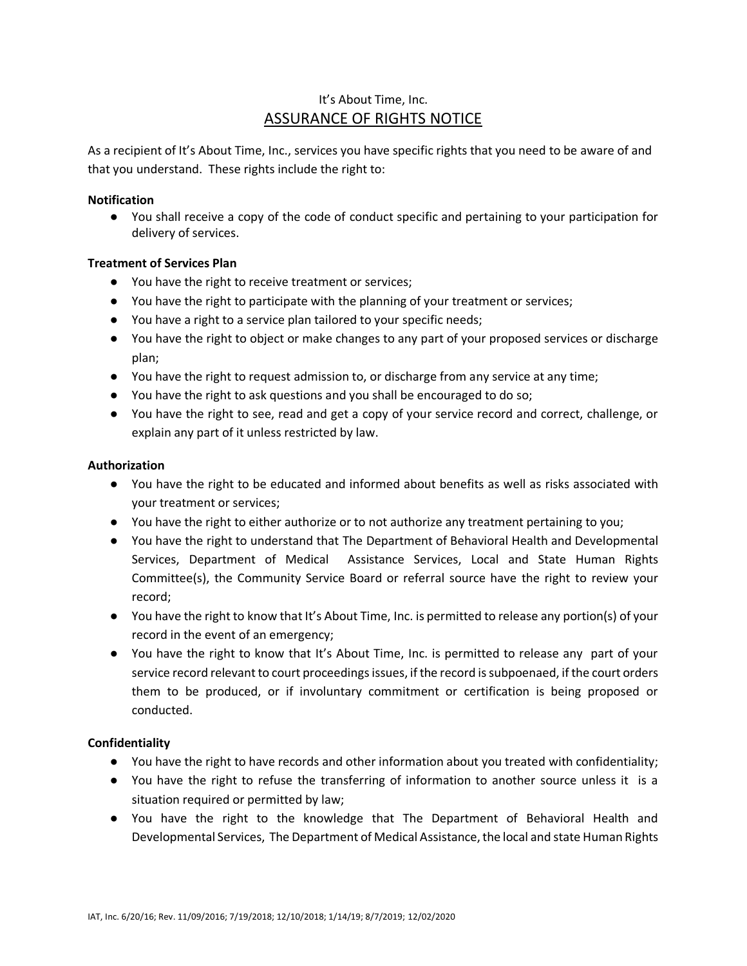# It's About Time, Inc. ASSURANCE OF RIGHTS NOTICE

As a recipient of It's About Time, Inc., services you have specific rights that you need to be aware of and that you understand. These rights include the right to:

### **Notification**

● You shall receive a copy of the code of conduct specific and pertaining to your participation for delivery of services.

# **Treatment of Services Plan**

- You have the right to receive treatment or services;
- You have the right to participate with the planning of your treatment or services;
- You have a right to a service plan tailored to your specific needs;
- You have the right to object or make changes to any part of your proposed services or discharge plan;
- You have the right to request admission to, or discharge from any service at any time;
- You have the right to ask questions and you shall be encouraged to do so;
- You have the right to see, read and get a copy of your service record and correct, challenge, or explain any part of it unless restricted by law.

# **Authorization**

- You have the right to be educated and informed about benefits as well as risks associated with your treatment or services;
- You have the right to either authorize or to not authorize any treatment pertaining to you;
- You have the right to understand that The Department of Behavioral Health and Developmental Services, Department of Medical Assistance Services, Local and State Human Rights Committee(s), the Community Service Board or referral source have the right to review your record;
- You have the right to know that It's About Time, Inc. is permitted to release any portion(s) of your record in the event of an emergency;
- You have the right to know that It's About Time, Inc. is permitted to release any part of your service record relevant to court proceedings issues, if the record is subpoenaed, if the court orders them to be produced, or if involuntary commitment or certification is being proposed or conducted.

# **Confidentiality**

- You have the right to have records and other information about you treated with confidentiality;
- You have the right to refuse the transferring of information to another source unless it is a situation required or permitted by law;
- You have the right to the knowledge that The Department of Behavioral Health and Developmental Services, The Department of Medical Assistance, the local and state Human Rights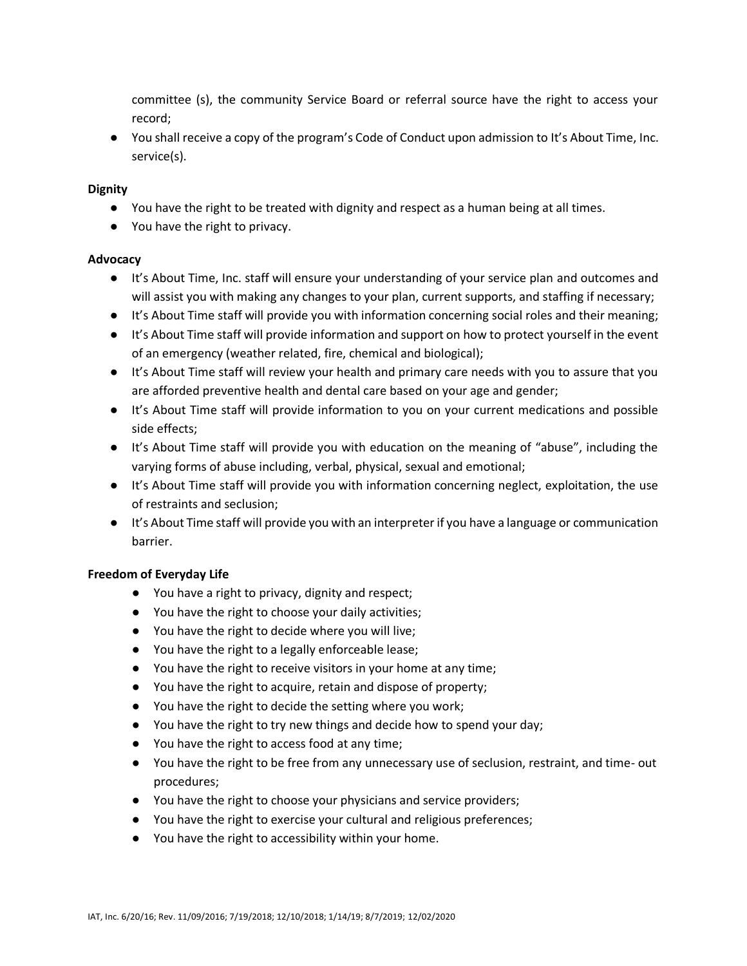committee (s), the community Service Board or referral source have the right to access your record;

● You shall receive a copy of the program's Code of Conduct upon admission to It's About Time, Inc. service(s).

### **Dignity**

- You have the right to be treated with dignity and respect as a human being at all times.
- You have the right to privacy.

# **Advocacy**

- It's About Time, Inc. staff will ensure your understanding of your service plan and outcomes and will assist you with making any changes to your plan, current supports, and staffing if necessary;
- It's About Time staff will provide you with information concerning social roles and their meaning;
- It's About Time staff will provide information and support on how to protect yourself in the event of an emergency (weather related, fire, chemical and biological);
- It's About Time staff will review your health and primary care needs with you to assure that you are afforded preventive health and dental care based on your age and gender;
- It's About Time staff will provide information to you on your current medications and possible side effects;
- It's About Time staff will provide you with education on the meaning of "abuse", including the varying forms of abuse including, verbal, physical, sexual and emotional;
- It's About Time staff will provide you with information concerning neglect, exploitation, the use of restraints and seclusion;
- It's About Time staff will provide you with an interpreter if you have a language or communication barrier.

# **Freedom of Everyday Life**

- You have a right to privacy, dignity and respect;
- You have the right to choose your daily activities;
- You have the right to decide where you will live;
- You have the right to a legally enforceable lease;
- You have the right to receive visitors in your home at any time;
- You have the right to acquire, retain and dispose of property;
- You have the right to decide the setting where you work;
- You have the right to try new things and decide how to spend your day;
- You have the right to access food at any time;
- You have the right to be free from any unnecessary use of seclusion, restraint, and time- out procedures;
- You have the right to choose your physicians and service providers;
- You have the right to exercise your cultural and religious preferences;
- You have the right to accessibility within your home.